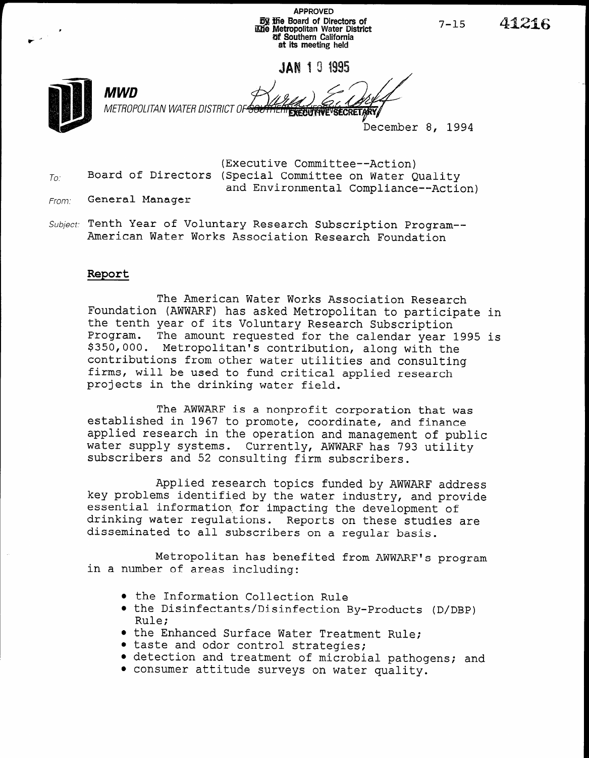APPROVED **By the Board of Directors of** @be Metropolitan Water District #I Southern California at its meeting held

JAN 1 0 1995.



MWD

METROPOLITAN WATER DISTRICT OF

41216

December 8, 1994

 $7 - 15$ 

(Executive Committee--Action)  $T_{0i}$  Board of Directors (Special Committee on Water Quality and Environmental Compliance--Action)

- From: General Manager
- Subject: Tenth Year of Voluntary Research Subscription Program--American Water Works Association Research Foundation

## Report

The American Water Works Association Research Foundation (AWWARF) has asked Metropolitan to participate in the tenth year of its Voluntary Research Subscription Program. The amount requested for the calendar year 1995 is \$350,000. Metropolitan's contribution, along with the contributions from other water utilities and consulting concributions from other water utfirities and consult firms, will be used to fund critical applied research projects in the drinking water field.

 $\overline{\mathbf{m}}$  a nonprofit corporation that was defined that was defined to the was defined to the was defined to the was defined to the corporation of the corporation of the corporation of the corporation of the corporation established in 1967 to promote corporation that  $V$ established in 1967 to promote, coordinate, and finance applied research in the operation and management of public water supply systems. Currently, AWWARF has 793 utility subscribers and 52 consulting firm subscribers.

Applied research topics funded by AWWARF address key problems in the water of the water induced by AWWARF address, key problems identified by the water industry, and provide essential information for impacting the development of drinking water regulations. Reports on these studies are disseminated to all subscribers on a regular basis.

Metropolitan has benefited from AWWARF's program in a number of an including  $\alpha$ 

- $\bullet$  the Information Collection Rule
- the Disinfectants/Disinfection By-Products (D/DBP)<br>Rule:  $\text{Rule:}$
- $\bullet$  the Enhanced Surface Water Trea
- $\bullet$  taste and odor control strategies;
- detection and treatment of microbial pathogens; and <br>• consumer attitude surveys on water quality.
-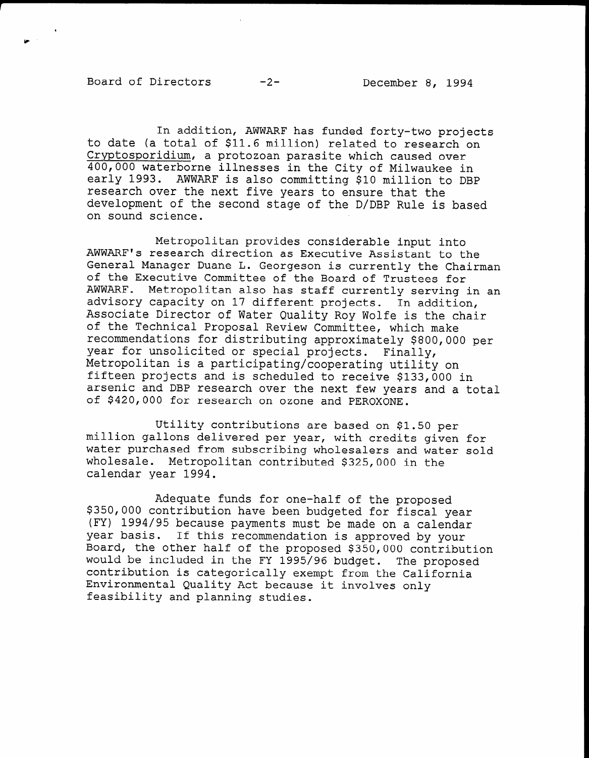In addition, AWWARF has funded forty-two projects to date (a total of \$11.6 million) related to research on Cryptosporidium, a protozoan parasite which caused over 400,000 waterborne illnesses in the City of Milwaukee in early 1993. AWWARF is also committing \$10 million to DBP research over the next five years to ensure that the development of the second stage of the D/DBP Rule is based on sound science.

Metropolitan provides considerable input into AWWARF's research direction as Executive Assistant to the General Manager Duane L. Georgeson is currently the Chairman of the Executive Committee of the Board of Trustees for AWWARF. Metropolitan also has staff currently serving in an advisory capacity on 17 different projects. In addition, Associate Director of Water Quality Roy Wolfe is the chair of the Technical Proposal Review Committee, which make recommendations for distributing approximately \$800,000 per year for unsolicited or special projects. Finally, Metropolitan is a participating/cooperating utility on fifteen projects and is scheduled to receive \$133,000 in arsenic and DBP research over the next few years and in the next few years and a total arsenic and DBP research over the next few years and a total of \$420,000 for research on ozone and PEROXONE.

Utility contributions are based on \$1.50 per portify contributions are based on \$1.50 per wittiton gallons delivered per year, with credits given for water purchased from subscribing wholesalers and water sold wholesale. Metropolitan contributed \$325,000 in the calendar year 1994.

 $\overline{a}$ Adequate funds for one-half of the proposed \$350,000 contribution have been budgeted for fiscal year (FY) 1994/95 because payments must be made on a calendar year basis. If this recommendation is approved by your Board, the other half of the proposed \$350,000 contribution would be included in the FY 1995/96 budget. The proposed contribution is categorically exempt from the California Environmental Quality Act because it involves only feasibility and planning studies.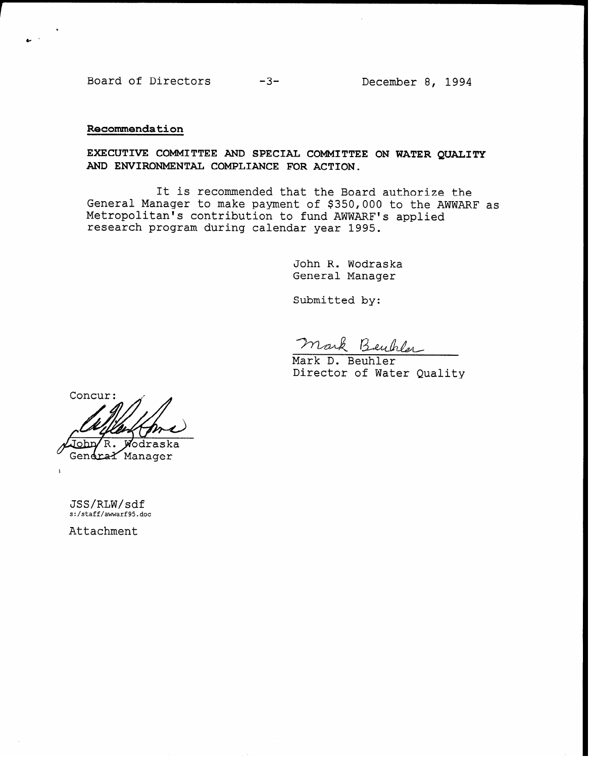Board of Directors -3- December 8, 1994

## Recommendation

EXECUTIVE COMMITTEE AND SPECIAL COMMITTEE ON WATER QUALITY AND ENVIRONMENTAL COMPLIANCE FOR ACTION.

It is recommended that the Board authorize the General Manager to make payment of \$350,000 to the AWWARF as Metropolitan's contribution to fund AWWARF's applied research program during calendar year 1995.

> John R. Wodraska General Manager

Submitted by:

mark B ey hlm

Mark D. Beuhler Director of Water Quality

Concur: ™nh ΄R. Wodraska Gendral Manager

JSS/RLW/sdf s:/staff/awwarf95.doc

Attachment

 $\mathbf{I}$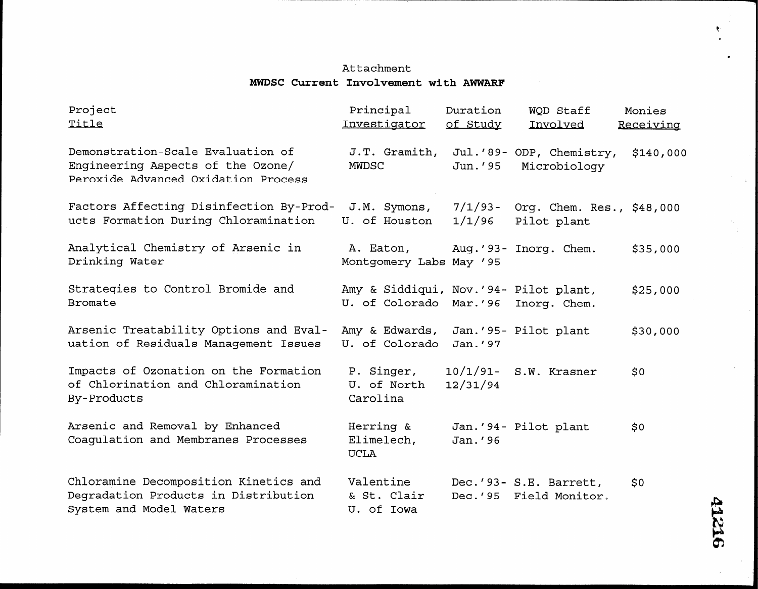## Attachment MWDSC Current Involvement with AWWARF

the contract of the contract of the contract of the contract of the contract of the contract of the contract of

TV.

| Project<br>Title                                                                                              | Principal<br>Investigator                                       | Duration<br>of Study    | WOD Staff<br>Involved                            | Monies<br>Receiving |
|---------------------------------------------------------------------------------------------------------------|-----------------------------------------------------------------|-------------------------|--------------------------------------------------|---------------------|
| Demonstration-Scale Evaluation of<br>Engineering Aspects of the Ozone/<br>Peroxide Advanced Oxidation Process | J.T. Gramith,<br>MWDSC                                          | Jun. '95                | Jul.'89- ODP, Chemistry,<br>Microbiology         | \$140,000           |
| Factors Affecting Disinfection By-Prod-<br>ucts Formation During Chloramination                               | J.M. Symons,<br>U. of Houston                                   | 7/1/93-<br>1/1/96       | Org. Chem. Res., \$48,000<br>Pilot plant         |                     |
| Analytical Chemistry of Arsenic in<br>Drinking Water                                                          | A. Eaton,<br>Montgomery Labs May '95                            |                         | Aug.'93- Inorg. Chem.                            | \$35,000            |
| Strategies to Control Bromide and<br><b>Bromate</b>                                                           | Amy & Siddiqui, Nov.'94- Pilot plant,<br>U. of Colorado Mar.'96 |                         | Inorg. Chem.                                     | \$25,000            |
| Arsenic Treatability Options and Eval-<br>uation of Residuals Management Issues                               | Amy & Edwards,<br>U. of Colorado                                | Jan.'97                 | Jan.'95- Pilot plant                             | \$30,000            |
| Impacts of Ozonation on the Formation<br>of Chlorination and Chloramination<br>By-Products                    | P. Singer,<br>U. of North<br>Carolina                           | $10/1/91$ -<br>12/31/94 | S.W. Krasner                                     | \$0\$               |
| Arsenic and Removal by Enhanced<br>Coaqulation and Membranes Processes                                        | Herring &<br>Elimelech,<br><b>UCLA</b>                          | Jan.'96                 | Jan.'94- Pilot plant                             | \$0                 |
| Chloramine Decomposition Kinetics and<br>Degradation Products in Distribution<br>System and Model Waters      | Valentine<br>& St. Clair<br>U. of Iowa                          |                         | Dec.'93- S.E. Barrett,<br>Dec.'95 Field Monitor. | \$0                 |

 $\sim$